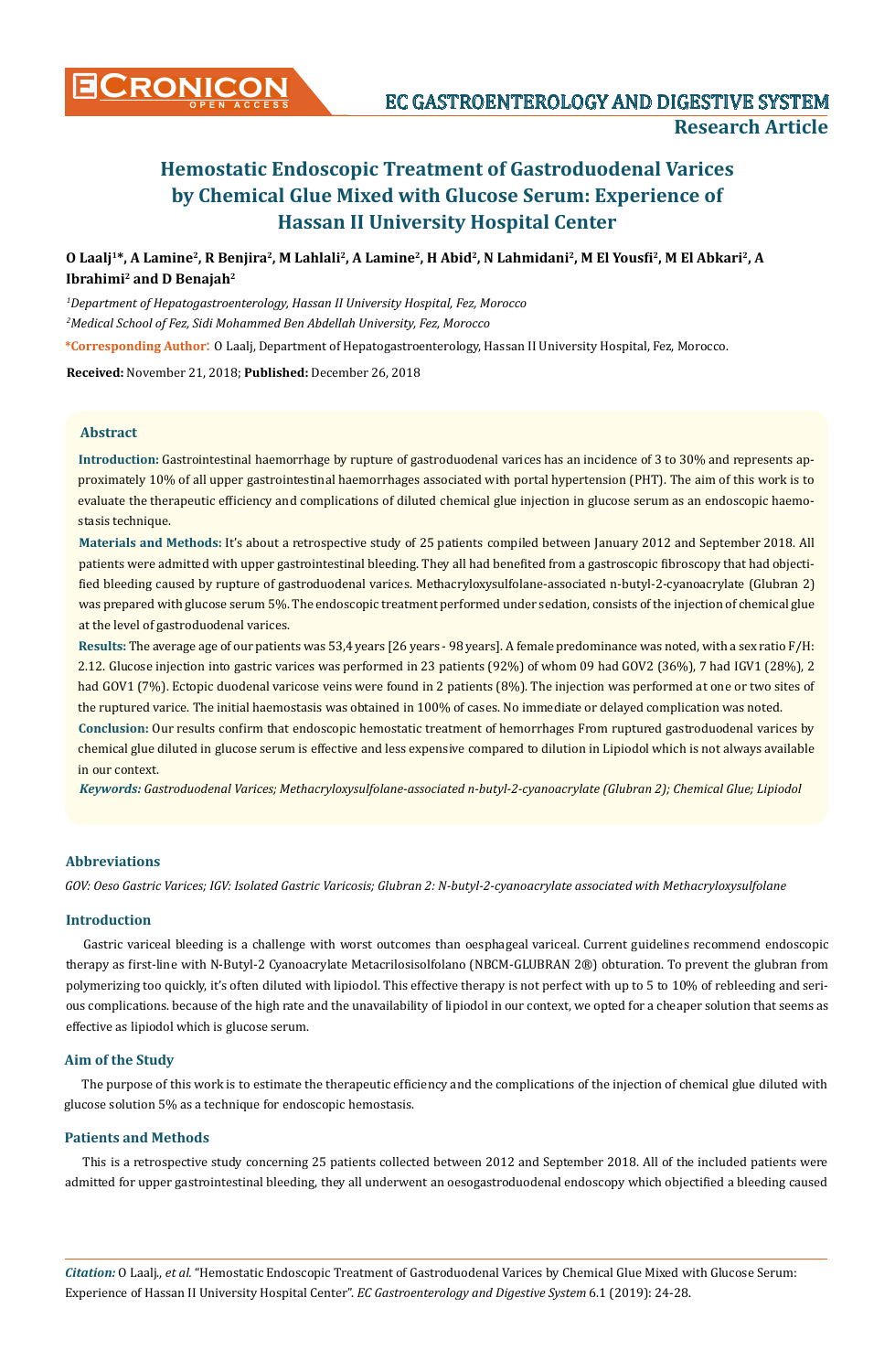

**O Laalj1\*, A Lamine2, R Benjira2, M Lahlali2, A Lamine2, H Abid2, N Lahmidani2, M El Yousfi2, M El Abkari2, A Ibrahimi2 and D Benajah2**

*1 Department of Hepatogastroenterology, Hassan II University Hospital, Fez, Morocco 2 Medical School of Fez, Sidi Mohammed Ben Abdellah University, Fez, Morocco*

**\*Corresponding Author**: O Laalj, Department of Hepatogastroenterology, Hassan II University Hospital, Fez, Morocco.

**Received:** November 21, 2018; **Published:** December 26, 2018

#### **Abstract**

**Introduction:** Gastrointestinal haemorrhage by rupture of gastroduodenal varices has an incidence of 3 to 30% and represents approximately 10% of all upper gastrointestinal haemorrhages associated with portal hypertension (PHT). The aim of this work is to evaluate the therapeutic efficiency and complications of diluted chemical glue injection in glucose serum as an endoscopic haemostasis technique.

**Materials and Methods:** It's about a retrospective study of 25 patients compiled between January 2012 and September 2018. All patients were admitted with upper gastrointestinal bleeding. They all had benefited from a gastroscopic fibroscopy that had objectified bleeding caused by rupture of gastroduodenal varices. Methacryloxysulfolane-associated n-butyl-2-cyanoacrylate (Glubran 2) was prepared with glucose serum 5%. The endoscopic treatment performed under sedation, consists of the injection of chemical glue at the level of gastroduodenal varices.

**Results:** The average age of our patients was 53,4 years [26 years - 98 years]. A female predominance was noted, with a sex ratio F/H: 2.12. Glucose injection into gastric varices was performed in 23 patients (92%) of whom 09 had GOV2 (36%), 7 had IGV1 (28%), 2 had GOV1 (7%). Ectopic duodenal varicose veins were found in 2 patients (8%). The injection was performed at one or two sites of the ruptured varice. The initial haemostasis was obtained in 100% of cases. No immediate or delayed complication was noted.

**Conclusion:** Our results confirm that endoscopic hemostatic treatment of hemorrhages From ruptured gastroduodenal varices by chemical glue diluted in glucose serum is effective and less expensive compared to dilution in Lipiodol which is not always available in our context.

*Keywords: Gastroduodenal Varices; Methacryloxysulfolane-associated n-butyl-2-cyanoacrylate (Glubran 2); Chemical Glue; Lipiodol*

# **Abbreviations**

*GOV: Oeso Gastric Varices; IGV: Isolated Gastric Varicosis; Glubran 2: N-butyl-2-cyanoacrylate associated with Methacryloxysulfolane* 

# **Introduction**

Gastric variceal bleeding is a challenge with worst outcomes than oesphageal variceal. Current guidelines recommend endoscopic therapy as first-line with N-Butyl-2 Cyanoacrylate Metacrilosisolfolano (NBCM-GLUBRAN 2®) obturation. To prevent the glubran from polymerizing too quickly, it's often diluted with lipiodol. This effective therapy is not perfect with up to 5 to 10% of rebleeding and serious complications. because of the high rate and the unavailability of lipiodol in our context, we opted for a cheaper solution that seems as effective as lipiodol which is glucose serum.

#### **Aim of the Study**

The purpose of this work is to estimate the therapeutic efficiency and the complications of the injection of chemical glue diluted with glucose solution 5% as a technique for endoscopic hemostasis.

## **Patients and Methods**

This is a retrospective study concerning 25 patients collected between 2012 and September 2018. All of the included patients were admitted for upper gastrointestinal bleeding, they all underwent an oesogastroduodenal endoscopy which objectified a bleeding caused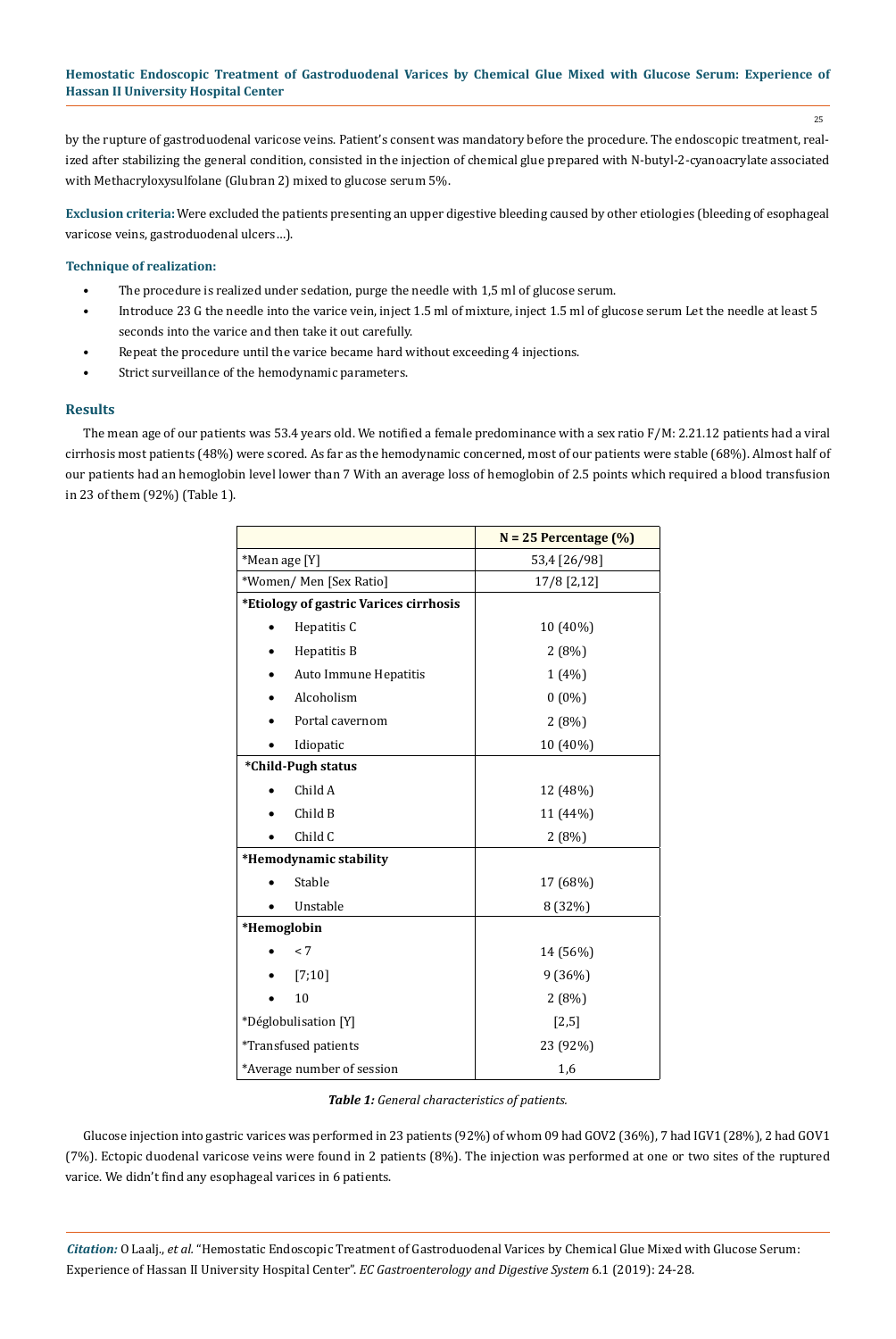25

by the rupture of gastroduodenal varicose veins. Patient's consent was mandatory before the procedure. The endoscopic treatment, realized after stabilizing the general condition, consisted in the injection of chemical glue prepared with N-butyl-2-cyanoacrylate associated with Methacryloxysulfolane (Glubran 2) mixed to glucose serum 5%.

**Exclusion criteria:** Were excluded the patients presenting an upper digestive bleeding caused by other etiologies (bleeding of esophageal varicose veins, gastroduodenal ulcers…).

## **Technique of realization:**

- The procedure is realized under sedation, purge the needle with 1,5 ml of glucose serum.
- Introduce 23 G the needle into the varice vein, inject 1.5 ml of mixture, inject 1.5 ml of glucose serum Let the needle at least 5 seconds into the varice and then take it out carefully.
- Repeat the procedure until the varice became hard without exceeding 4 injections.
- Strict surveillance of the hemodynamic parameters.

# **Results**

The mean age of our patients was 53.4 years old. We notified a female predominance with a sex ratio F/M: 2.21.12 patients had a viral cirrhosis most patients (48%) were scored. As far as the hemodynamic concerned, most of our patients were stable (68%). Almost half of our patients had an hemoglobin level lower than 7 With an average loss of hemoglobin of 2.5 points which required a blood transfusion in 23 of them (92%) (Table 1).

|                                        | $N = 25$ Percentage $(\%)$ |  |  |
|----------------------------------------|----------------------------|--|--|
| *Mean age [Y]                          | 53,4 [26/98]               |  |  |
| *Women/ Men [Sex Ratio]                | 17/8 [2,12]                |  |  |
| *Etiology of gastric Varices cirrhosis |                            |  |  |
| Hepatitis C                            | 10 (40%)                   |  |  |
| Hepatitis B                            | 2(8%)                      |  |  |
| Auto Immune Hepatitis                  | 1(4%)                      |  |  |
| Alcoholism                             | $0(0\%)$                   |  |  |
| Portal cavernom                        | 2(8%)                      |  |  |
| Idiopatic                              | 10 (40%)                   |  |  |
| *Child-Pugh status                     |                            |  |  |
| Child A                                | 12 (48%)                   |  |  |
| Child B                                | 11 (44%)                   |  |  |
| Child C                                | 2(8%)                      |  |  |
| *Hemodynamic stability                 |                            |  |  |
| Stable                                 | 17 (68%)                   |  |  |
| Unstable                               | 8 (32%)                    |  |  |
| *Hemoglobin                            |                            |  |  |
| < 7                                    | 14 (56%)                   |  |  |
| $[7;10]$                               | 9 (36%)                    |  |  |
| 10                                     | 2(8%)                      |  |  |
| *Déglobulisation [Y]                   | $[2,5]$                    |  |  |
| *Transfused patients                   | 23 (92%)                   |  |  |
| *Average number of session             | 1,6                        |  |  |

#### *Table 1: General characteristics of patients.*

Glucose injection into gastric varices was performed in 23 patients (92%) of whom 09 had GOV2 (36%), 7 had IGV1 (28%), 2 had GOV1 (7%). Ectopic duodenal varicose veins were found in 2 patients (8%). The injection was performed at one or two sites of the ruptured varice. We didn't find any esophageal varices in 6 patients.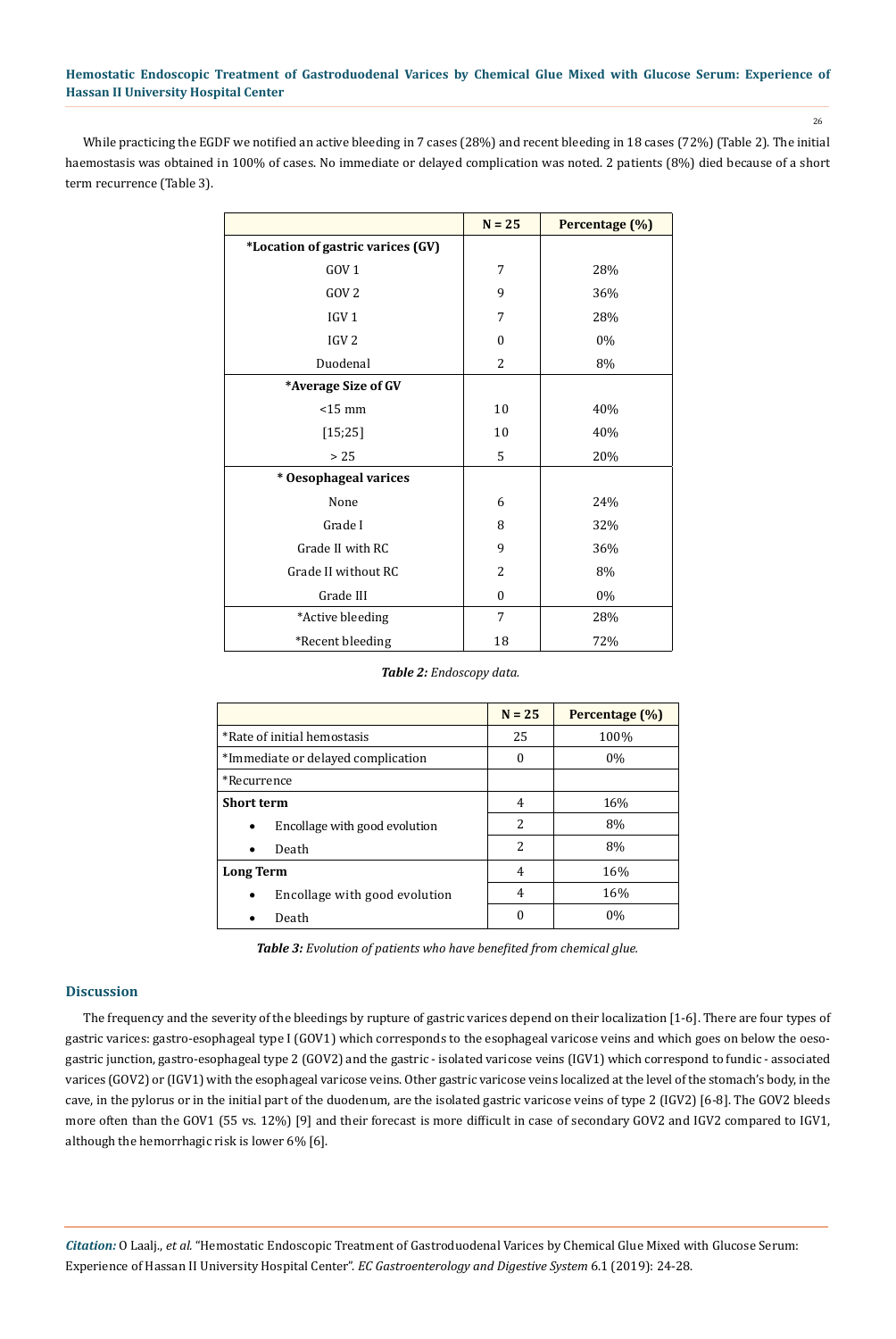26

While practicing the EGDF we notified an active bleeding in 7 cases (28%) and recent bleeding in 18 cases (72%) (Table 2). The initial haemostasis was obtained in 100% of cases. No immediate or delayed complication was noted. 2 patients (8%) died because of a short term recurrence (Table 3).

|                                   | $N = 25$       | Percentage (%) |
|-----------------------------------|----------------|----------------|
| *Location of gastric varices (GV) |                |                |
| GOV <sub>1</sub>                  | 7              | 28%            |
| GOV <sub>2</sub>                  | 9              | 36%            |
| IGV <sub>1</sub>                  | 7              | 28%            |
| IGV <sub>2</sub>                  | $\theta$       | 0%             |
| Duodenal                          | 2              | 8%             |
| *Average Size of GV               |                |                |
| $<$ 15 mm                         | 10             | 40%            |
| [15; 25]                          | 10             | 40%            |
| >25                               | 5              | 20%            |
| * Oesophageal varices             |                |                |
| None                              | 6              | 24%            |
| Grade I                           | 8              | 32%            |
| Grade II with RC                  | 9              | 36%            |
| Grade II without RC               | $\overline{2}$ | 8%             |
| Grade III                         | $\Omega$       | 0%             |
| *Active bleeding                  | 7              | 28%            |
| *Recent bleeding                  | 18             | 72%            |

*Table 2: Endoscopy data.*

|                                            | $N = 25$                 | Percentage (%) |
|--------------------------------------------|--------------------------|----------------|
| *Rate of initial hemostasis                | 25                       | 100%           |
| *Immediate or delayed complication         | 0                        | $0\%$          |
| *Recurrence                                |                          |                |
| <b>Short term</b>                          | 4                        | 16%            |
| Encollage with good evolution<br>$\bullet$ | 2                        | 8%             |
| Death<br>$\bullet$                         | $\overline{\mathcal{L}}$ | 8%             |
| <b>Long Term</b>                           | 4                        | 16%            |
| Encollage with good evolution<br>$\bullet$ | 4                        | 16%            |
| Death                                      | O                        | $0\%$          |

*Table 3: Evolution of patients who have benefited from chemical glue.*

# **Discussion**

The frequency and the severity of the bleedings by rupture of gastric varices depend on their localization [1-6]. There are four types of gastric varices: gastro-esophageal type I (GOV1) which corresponds to the esophageal varicose veins and which goes on below the oesogastric junction, gastro-esophageal type 2 (GOV2) and the gastric - isolated varicose veins (IGV1) which correspond to fundic - associated varices (GOV2) or (IGV1) with the esophageal varicose veins. Other gastric varicose veins localized at the level of the stomach's body, in the cave, in the pylorus or in the initial part of the duodenum, are the isolated gastric varicose veins of type 2 (IGV2) [6-8]. The GOV2 bleeds more often than the GOV1 (55 vs. 12%) [9] and their forecast is more difficult in case of secondary GOV2 and IGV2 compared to IGV1, although the hemorrhagic risk is lower 6% [6].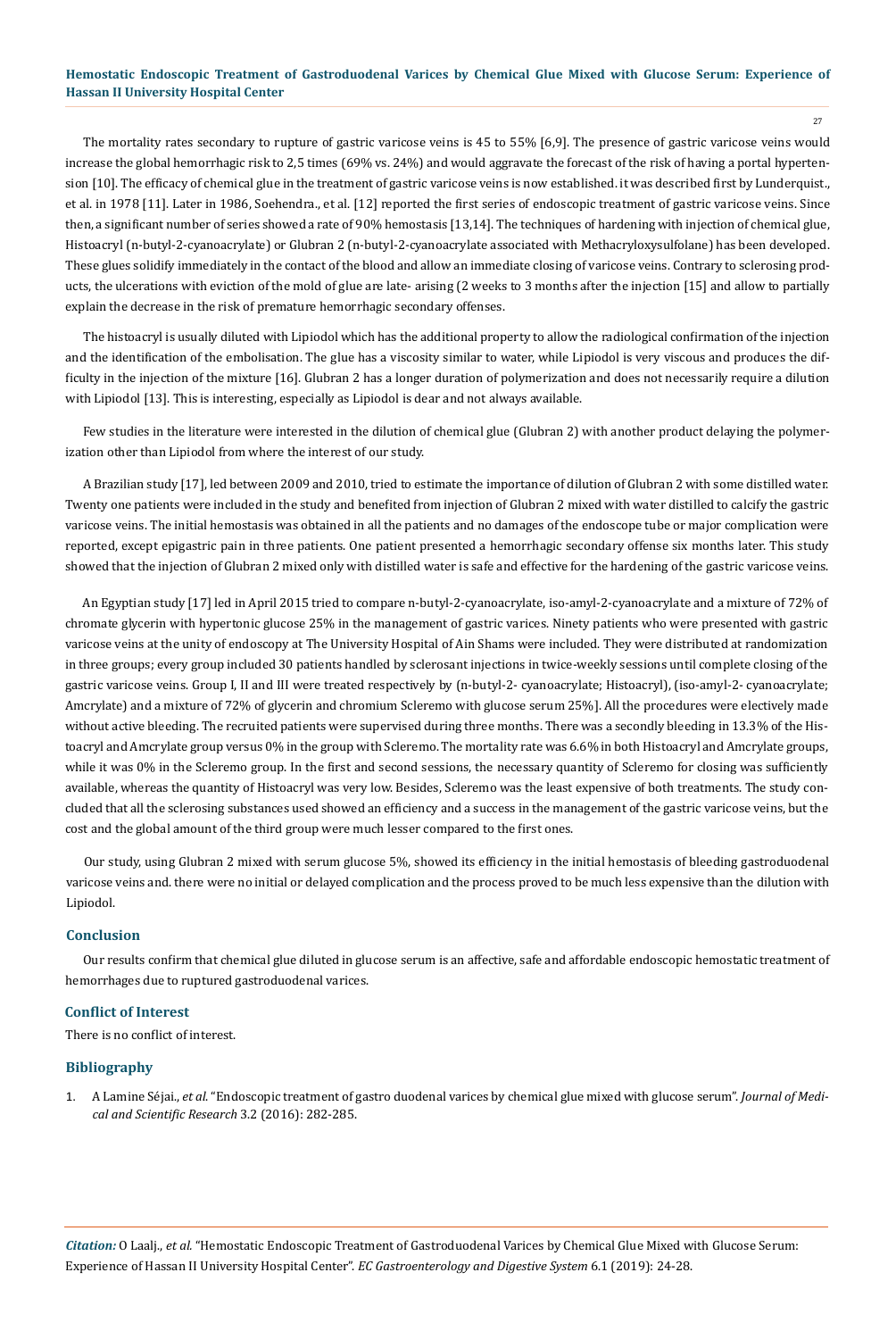27

The mortality rates secondary to rupture of gastric varicose veins is 45 to 55% [6,9]. The presence of gastric varicose veins would increase the global hemorrhagic risk to 2,5 times (69% vs. 24%) and would aggravate the forecast of the risk of having a portal hypertension [10]. The efficacy of chemical glue in the treatment of gastric varicose veins is now established. it was described first by Lunderquist., et al. in 1978 [11]. Later in 1986, Soehendra., et al. [12] reported the first series of endoscopic treatment of gastric varicose veins. Since then, a significant number of series showed a rate of 90% hemostasis [13,14]. The techniques of hardening with injection of chemical glue, Histoacryl (n-butyl-2-cyanoacrylate) or Glubran 2 (n-butyl-2-cyanoacrylate associated with Methacryloxysulfolane) has been developed. These glues solidify immediately in the contact of the blood and allow an immediate closing of varicose veins. Contrary to sclerosing products, the ulcerations with eviction of the mold of glue are late- arising (2 weeks to 3 months after the injection [15] and allow to partially explain the decrease in the risk of premature hemorrhagic secondary offenses.

The histoacryl is usually diluted with Lipiodol which has the additional property to allow the radiological confirmation of the injection and the identification of the embolisation. The glue has a viscosity similar to water, while Lipiodol is very viscous and produces the difficulty in the injection of the mixture [16]. Glubran 2 has a longer duration of polymerization and does not necessarily require a dilution with Lipiodol [13]. This is interesting, especially as Lipiodol is dear and not always available.

Few studies in the literature were interested in the dilution of chemical glue (Glubran 2) with another product delaying the polymerization other than Lipiodol from where the interest of our study.

A Brazilian study [17], led between 2009 and 2010, tried to estimate the importance of dilution of Glubran 2 with some distilled water. Twenty one patients were included in the study and benefited from injection of Glubran 2 mixed with water distilled to calcify the gastric varicose veins. The initial hemostasis was obtained in all the patients and no damages of the endoscope tube or major complication were reported, except epigastric pain in three patients. One patient presented a hemorrhagic secondary offense six months later. This study showed that the injection of Glubran 2 mixed only with distilled water is safe and effective for the hardening of the gastric varicose veins.

An Egyptian study [17] led in April 2015 tried to compare n-butyl-2-cyanoacrylate, iso-amyl-2-cyanoacrylate and a mixture of 72% of chromate glycerin with hypertonic glucose 25% in the management of gastric varices. Ninety patients who were presented with gastric varicose veins at the unity of endoscopy at The University Hospital of Ain Shams were included. They were distributed at randomization in three groups; every group included 30 patients handled by sclerosant injections in twice-weekly sessions until complete closing of the gastric varicose veins. Group I, II and III were treated respectively by (n-butyl-2- cyanoacrylate; Histoacryl), (iso-amyl-2- cyanoacrylate; Amcrylate) and a mixture of 72% of glycerin and chromium Scleremo with glucose serum 25%]. All the procedures were electively made without active bleeding. The recruited patients were supervised during three months. There was a secondly bleeding in 13.3% of the Histoacryl and Amcrylate group versus 0% in the group with Scleremo. The mortality rate was 6.6% in both Histoacryl and Amcrylate groups, while it was 0% in the Scleremo group. In the first and second sessions, the necessary quantity of Scleremo for closing was sufficiently available, whereas the quantity of Histoacryl was very low. Besides, Scleremo was the least expensive of both treatments. The study concluded that all the sclerosing substances used showed an efficiency and a success in the management of the gastric varicose veins, but the cost and the global amount of the third group were much lesser compared to the first ones.

Our study, using Glubran 2 mixed with serum glucose 5%, showed its efficiency in the initial hemostasis of bleeding gastroduodenal varicose veins and. there were no initial or delayed complication and the process proved to be much less expensive than the dilution with Lipiodol.

#### **Conclusion**

Our results confirm that chemical glue diluted in glucose serum is an affective, safe and affordable endoscopic hemostatic treatment of hemorrhages due to ruptured gastroduodenal varices.

#### **Conflict of Interest**

There is no conflict of interest.

#### **Bibliography**

1. A Lamine Séjai., *et al*[. "Endoscopic treatment of gastro duodenal varices by chemical glue mixed with glucose serum".](https://journal-jmsr.net/abstract.php?article_id=4792) *Journal of Medi[cal and Scientific Research](https://journal-jmsr.net/abstract.php?article_id=4792)* 3.2 (2016): 282-285.